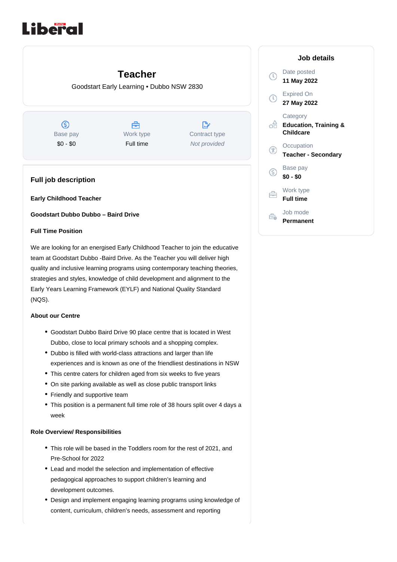# Liberal

# **Teacher**

Goodstart Early Learning • Dubbo NSW 2830

 $\circledS$ Base pay \$0 - \$0

A Work type Full time

 $\mathbb{R}^*$ Contract type Not provided

# **Full job description**

**Early Childhood Teacher**

**Goodstart Dubbo Dubbo – Baird Drive** 

## **Full Time Position**

We are looking for an energised Early Childhood Teacher to join the educative team at Goodstart Dubbo -Baird Drive. As the Teacher you will deliver high quality and inclusive learning programs using contemporary teaching theories, strategies and styles, knowledge of child development and alignment to the Early Years Learning Framework (EYLF) and National Quality Standard (NQS).

## **About our Centre**

- Goodstart Dubbo Baird Drive 90 place centre that is located in West Dubbo, close to local primary schools and a shopping complex.
- Dubbo is filled with world-class attractions and larger than life experiences and is known as one of the friendliest destinations in NSW
- This centre caters for children aged from six weeks to five years
- On site parking available as well as close public transport links
- Friendly and supportive team
- This position is a permanent full time role of 38 hours split over 4 days a week

#### **Role Overview/ Responsibilities**

- This role will be based in the Toddlers room for the rest of 2021, and Pre-School for 2022
- Lead and model the selection and implementation of effective pedagogical approaches to support children's learning and development outcomes.
- Design and implement engaging learning programs using knowledge of content, curriculum, children's needs, assessment and reporting

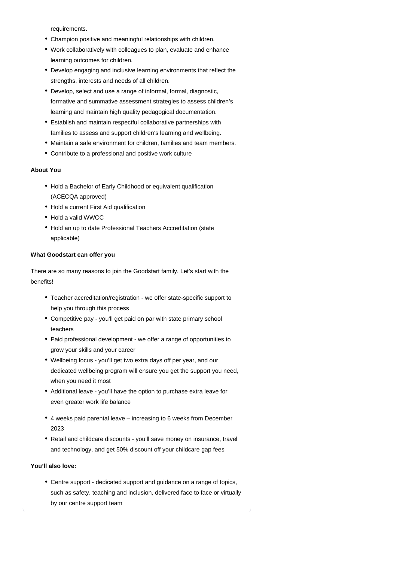requirements.

- Champion positive and meaningful relationships with children.
- Work collaboratively with colleagues to plan, evaluate and enhance learning outcomes for children.
- Develop engaging and inclusive learning environments that reflect the strengths, interests and needs of all children.
- Develop, select and use a range of informal, formal, diagnostic, formative and summative assessment strategies to assess children's learning and maintain high quality pedagogical documentation.
- Establish and maintain respectful collaborative partnerships with families to assess and support children's learning and wellbeing.
- Maintain a safe environment for children, families and team members.
- Contribute to a professional and positive work culture

#### **About You**

- Hold a Bachelor of Early Childhood or equivalent qualification (ACECQA approved)
- Hold a current First Aid qualification
- Hold a valid WWCC
- Hold an up to date Professional Teachers Accreditation (state applicable)

#### **What Goodstart can offer you**

There are so many reasons to join the Goodstart family. Let's start with the benefits!

- Teacher accreditation/registration we offer state-specific support to help you through this process
- Competitive pay you'll get paid on par with state primary school teachers
- Paid professional development we offer a range of opportunities to grow your skills and your career
- Wellbeing focus you'll get two extra days off per year, and our dedicated wellbeing program will ensure you get the support you need, when you need it most
- Additional leave you'll have the option to purchase extra leave for even greater work life balance
- 4 weeks paid parental leave increasing to 6 weeks from December 2023
- Retail and childcare discounts you'll save money on insurance, travel and technology, and get 50% discount off your childcare gap fees

#### **You'll also love:**

Centre support - dedicated support and guidance on a range of topics, such as safety, teaching and inclusion, delivered face to face or virtually by our centre support team